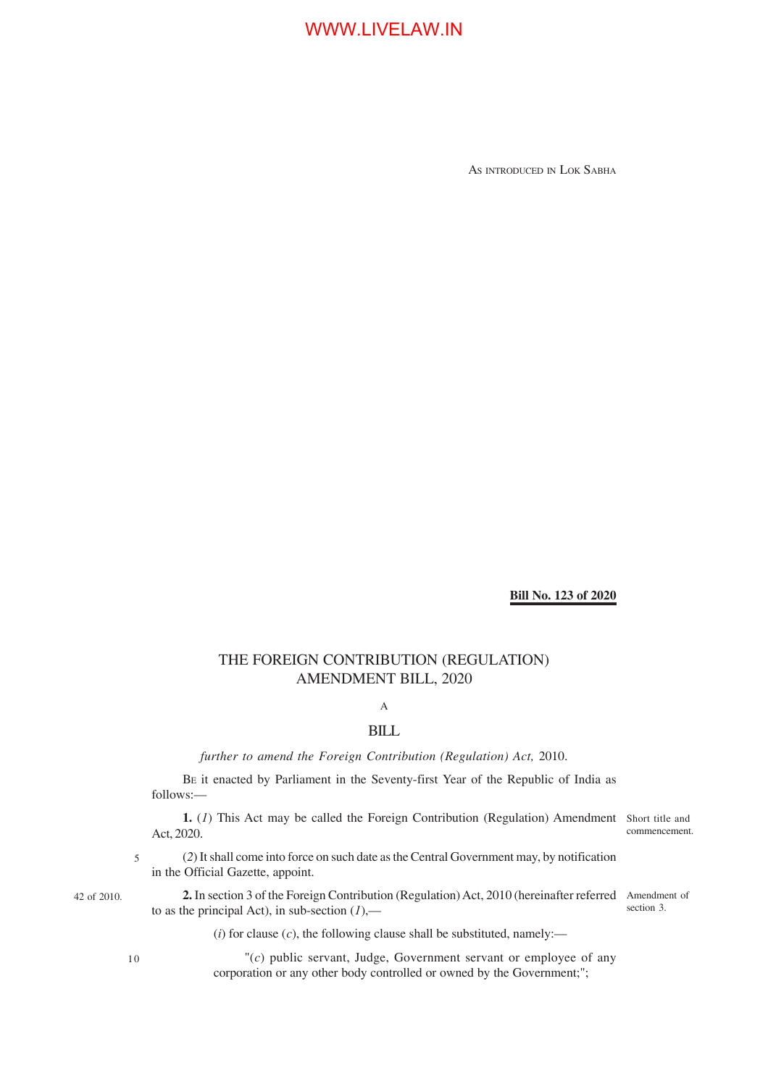AS INTRODUCED IN LOK SABHA

### **Bill No. 123 of 2020**

## THE FOREIGN CONTRIBUTION (REGULATION) AMENDMENT BILL, 2020

### A

## **BILL**

*further to amend the Foreign Contribution (Regulation) Act,* 2010.

BE it enacted by Parliament in the Seventy-first Year of the Republic of India as follows:—

**1.** (*1*) This Act may be called the Foreign Contribution (Regulation) Amendment Short title and Act, 2020.

commencement.

(*2*) It shall come into force on such date as the Central Government may, by notification in the Official Gazette, appoint. 5

42 of 2010.

**2.** In section 3 of the Foreign Contribution (Regulation) Act, 2010 (hereinafter referred Amendment of to as the principal Act), in sub-section  $(I)$ ,—

section 3.

 $(i)$  for clause  $(c)$ , the following clause shall be substituted, namely:—

10

"(*c*) public servant, Judge, Government servant or employee of any corporation or any other body controlled or owned by the Government;";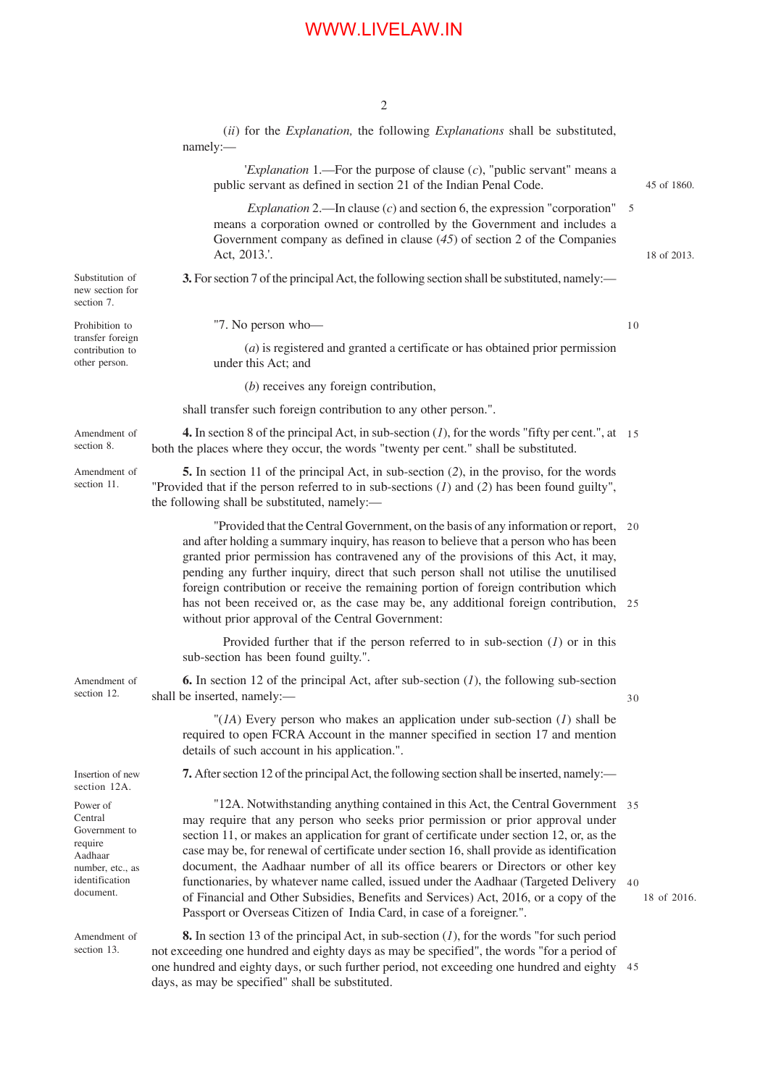2

|                                                                                                               | (ii) for the <i>Explanation</i> , the following <i>Explanations</i> shall be substituted,<br>namely:-                                                                                                                                                                                                                                                                                                                                                                                                                                                                                                                                                                                                      |    |             |
|---------------------------------------------------------------------------------------------------------------|------------------------------------------------------------------------------------------------------------------------------------------------------------------------------------------------------------------------------------------------------------------------------------------------------------------------------------------------------------------------------------------------------------------------------------------------------------------------------------------------------------------------------------------------------------------------------------------------------------------------------------------------------------------------------------------------------------|----|-------------|
|                                                                                                               | <i>Explanation</i> 1.—For the purpose of clause $(c)$ , "public servant" means a<br>public servant as defined in section 21 of the Indian Penal Code.                                                                                                                                                                                                                                                                                                                                                                                                                                                                                                                                                      |    | 45 of 1860. |
|                                                                                                               | <i>Explanation</i> 2.—In clause $(c)$ and section 6, the expression "corporation" 5<br>means a corporation owned or controlled by the Government and includes a<br>Government company as defined in clause $(45)$ of section 2 of the Companies<br>Act, 2013.'.                                                                                                                                                                                                                                                                                                                                                                                                                                            |    | 18 of 2013. |
| Substitution of<br>new section for<br>section 7.                                                              | 3. For section 7 of the principal Act, the following section shall be substituted, namely:—                                                                                                                                                                                                                                                                                                                                                                                                                                                                                                                                                                                                                |    |             |
| Prohibition to<br>transfer foreign<br>contribution to<br>other person.                                        | "7. No person who-                                                                                                                                                                                                                                                                                                                                                                                                                                                                                                                                                                                                                                                                                         | 10 |             |
|                                                                                                               | $(a)$ is registered and granted a certificate or has obtained prior permission<br>under this Act; and                                                                                                                                                                                                                                                                                                                                                                                                                                                                                                                                                                                                      |    |             |
|                                                                                                               | $(b)$ receives any foreign contribution,                                                                                                                                                                                                                                                                                                                                                                                                                                                                                                                                                                                                                                                                   |    |             |
|                                                                                                               | shall transfer such foreign contribution to any other person.".                                                                                                                                                                                                                                                                                                                                                                                                                                                                                                                                                                                                                                            |    |             |
| Amendment of<br>section 8.                                                                                    | <b>4.</b> In section 8 of the principal Act, in sub-section $(1)$ , for the words "fifty per cent.", at 15<br>both the places where they occur, the words "twenty per cent." shall be substituted.                                                                                                                                                                                                                                                                                                                                                                                                                                                                                                         |    |             |
| Amendment of<br>section 11.                                                                                   | 5. In section 11 of the principal Act, in sub-section (2), in the proviso, for the words<br>"Provided that if the person referred to in sub-sections $(1)$ and $(2)$ has been found guilty",<br>the following shall be substituted, namely:-                                                                                                                                                                                                                                                                                                                                                                                                                                                               |    |             |
|                                                                                                               | "Provided that the Central Government, on the basis of any information or report,<br>and after holding a summary inquiry, has reason to believe that a person who has been<br>granted prior permission has contravened any of the provisions of this Act, it may,<br>pending any further inquiry, direct that such person shall not utilise the unutilised<br>foreign contribution or receive the remaining portion of foreign contribution which<br>has not been received or, as the case may be, any additional foreign contribution, 25<br>without prior approval of the Central Government:                                                                                                            | 20 |             |
|                                                                                                               | Provided further that if the person referred to in sub-section $(1)$ or in this<br>sub-section has been found guilty.".                                                                                                                                                                                                                                                                                                                                                                                                                                                                                                                                                                                    |    |             |
| Amendment of<br>section 12.                                                                                   | <b>6.</b> In section 12 of the principal Act, after sub-section $(I)$ , the following sub-section<br>shall be inserted, namely:-                                                                                                                                                                                                                                                                                                                                                                                                                                                                                                                                                                           | 30 |             |
|                                                                                                               | "( $IA$ ) Every person who makes an application under sub-section ( $I$ ) shall be<br>required to open FCRA Account in the manner specified in section 17 and mention<br>details of such account in his application.".                                                                                                                                                                                                                                                                                                                                                                                                                                                                                     |    |             |
| Insertion of new<br>section 12A.                                                                              | 7. After section 12 of the principal Act, the following section shall be inserted, namely:—                                                                                                                                                                                                                                                                                                                                                                                                                                                                                                                                                                                                                |    |             |
| Power of<br>Central<br>Government to<br>require<br>Aadhaar<br>number, etc., as<br>identification<br>document. | "12A. Notwithstanding anything contained in this Act, the Central Government 35<br>may require that any person who seeks prior permission or prior approval under<br>section 11, or makes an application for grant of certificate under section 12, or, as the<br>case may be, for renewal of certificate under section 16, shall provide as identification<br>document, the Aadhaar number of all its office bearers or Directors or other key<br>functionaries, by whatever name called, issued under the Aadhaar (Targeted Delivery 40<br>of Financial and Other Subsidies, Benefits and Services) Act, 2016, or a copy of the<br>Passport or Overseas Citizen of India Card, in case of a foreigner.". |    | 18 of 2016. |
| Amendment of<br>section 13.                                                                                   | <b>8.</b> In section 13 of the principal Act, in sub-section $(I)$ , for the words "for such period<br>not exceeding one hundred and eighty days as may be specified", the words "for a period of<br>one hundred and eighty days, or such further period, not exceeding one hundred and eighty<br>days, as may be specified" shall be substituted.                                                                                                                                                                                                                                                                                                                                                         | 45 |             |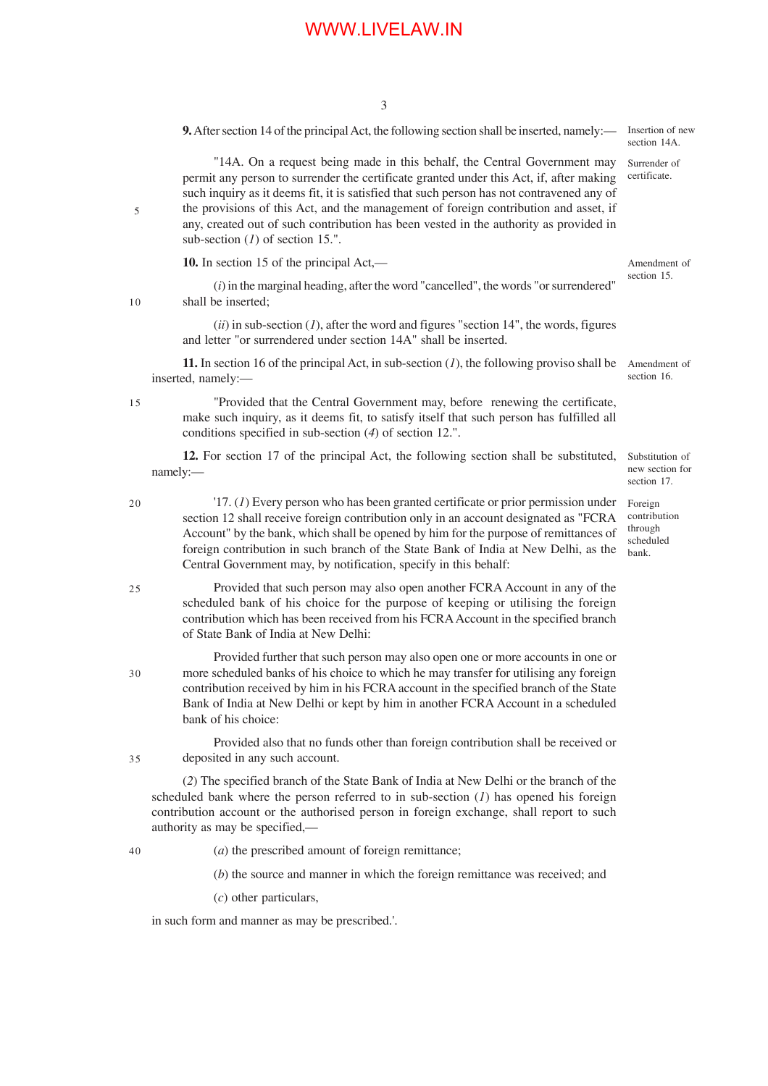3

**9.** After section 14 of the principal Act, the following section shall be inserted, namely:—

"14A. On a request being made in this behalf, the Central Government may permit any person to surrender the certificate granted under this Act, if, after making such inquiry as it deems fit, it is satisfied that such person has not contravened any of the provisions of this Act, and the management of foreign contribution and asset, if any, created out of such contribution has been vested in the authority as provided in sub-section (*1*) of section 15.".

**10.** In section 15 of the principal Act,—

section 15.

section 16.

10

5

(*i*) in the marginal heading, after the word "cancelled", the words "or surrendered" shall be inserted;

 $(iii)$  in sub-section  $(I)$ , after the word and figures "section 14", the words, figures and letter "or surrendered under section 14A" shall be inserted.

**11.** In section 16 of the principal Act, in sub-section (*1*), the following proviso shall be inserted, namely:— Amendment of

15

25

35

"Provided that the Central Government may, before renewing the certificate, make such inquiry, as it deems fit, to satisfy itself that such person has fulfilled all conditions specified in sub-section (*4*) of section 12.".

**12.** For section 17 of the principal Act, the following section shall be substituted, namely:—

- '17. (*1*) Every person who has been granted certificate or prior permission under section 12 shall receive foreign contribution only in an account designated as "FCRA Account" by the bank, which shall be opened by him for the purpose of remittances of foreign contribution in such branch of the State Bank of India at New Delhi, as the Central Government may, by notification, specify in this behalf: 20
	- Provided that such person may also open another FCRA Account in any of the scheduled bank of his choice for the purpose of keeping or utilising the foreign contribution which has been received from his FCRA Account in the specified branch of State Bank of India at New Delhi:
- Provided further that such person may also open one or more accounts in one or more scheduled banks of his choice to which he may transfer for utilising any foreign contribution received by him in his FCRA account in the specified branch of the State Bank of India at New Delhi or kept by him in another FCRA Account in a scheduled bank of his choice: 30

Provided also that no funds other than foreign contribution shall be received or deposited in any such account.

(*2*) The specified branch of the State Bank of India at New Delhi or the branch of the scheduled bank where the person referred to in sub-section (*1*) has opened his foreign contribution account or the authorised person in foreign exchange, shall report to such authority as may be specified,—

(*a*) the prescribed amount of foreign remittance; 40

(*b*) the source and manner in which the foreign remittance was received; and

(*c*) other particulars,

in such form and manner as may be prescribed.'.

Amendment of

Insertion of new section  $14A$ Surrender of certificate.

Substitution of new section for section 17.

Foreign contribution through scheduled bank.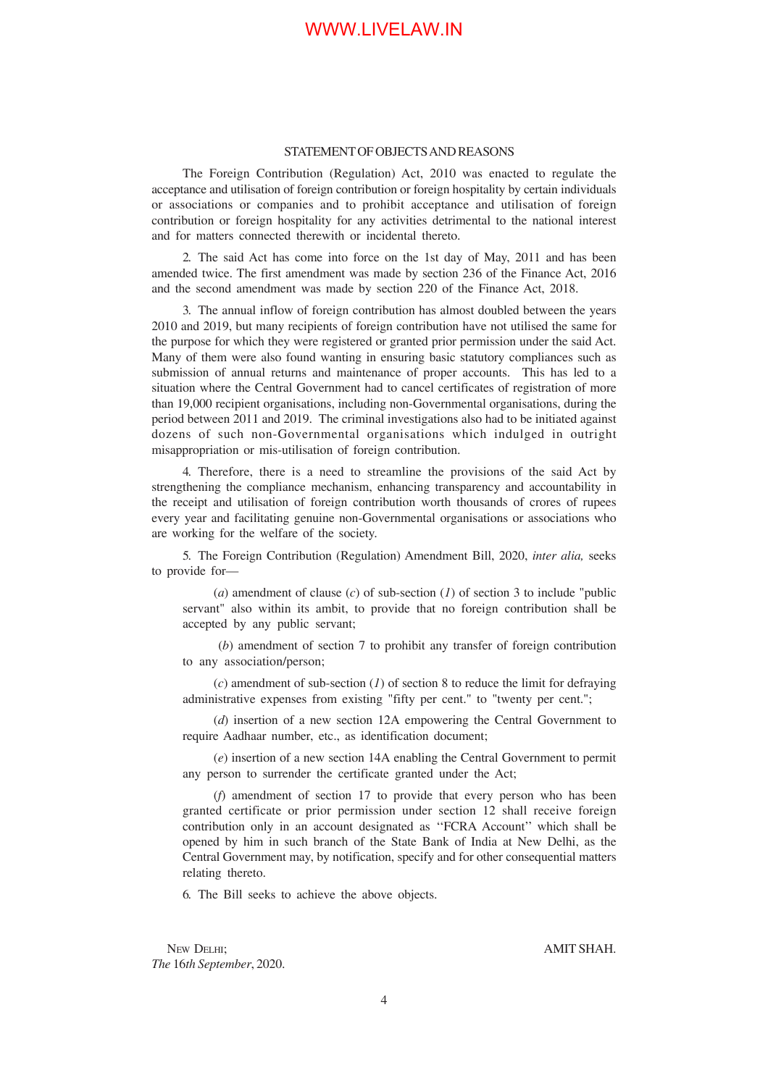#### STATEMENT OF OBJECTS AND REASONS

The Foreign Contribution (Regulation) Act, 2010 was enacted to regulate the acceptance and utilisation of foreign contribution or foreign hospitality by certain individuals or associations or companies and to prohibit acceptance and utilisation of foreign contribution or foreign hospitality for any activities detrimental to the national interest and for matters connected therewith or incidental thereto.

2. The said Act has come into force on the 1st day of May, 2011 and has been amended twice. The first amendment was made by section 236 of the Finance Act, 2016 and the second amendment was made by section 220 of the Finance Act, 2018.

3. The annual inflow of foreign contribution has almost doubled between the years 2010 and 2019, but many recipients of foreign contribution have not utilised the same for the purpose for which they were registered or granted prior permission under the said Act. Many of them were also found wanting in ensuring basic statutory compliances such as submission of annual returns and maintenance of proper accounts. This has led to a situation where the Central Government had to cancel certificates of registration of more than 19,000 recipient organisations, including non-Governmental organisations, during the period between 2011 and 2019. The criminal investigations also had to be initiated against dozens of such non-Governmental organisations which indulged in outright misappropriation or mis-utilisation of foreign contribution.

4. Therefore, there is a need to streamline the provisions of the said Act by strengthening the compliance mechanism, enhancing transparency and accountability in the receipt and utilisation of foreign contribution worth thousands of crores of rupees every year and facilitating genuine non-Governmental organisations or associations who are working for the welfare of the society.

5. The Foreign Contribution (Regulation) Amendment Bill, 2020, *inter alia,* seeks to provide for—

(*a*) amendment of clause (*c*) of sub-section (*1*) of section 3 to include "public servant" also within its ambit, to provide that no foreign contribution shall be accepted by any public servant;

 (*b*) amendment of section 7 to prohibit any transfer of foreign contribution to any association/person;

(*c*) amendment of sub-section (*1*) of section 8 to reduce the limit for defraying administrative expenses from existing "fifty per cent." to "twenty per cent.";

(*d*) insertion of a new section 12A empowering the Central Government to require Aadhaar number, etc., as identification document;

(*e*) insertion of a new section 14A enabling the Central Government to permit any person to surrender the certificate granted under the Act;

(*f*) amendment of section 17 to provide that every person who has been granted certificate or prior permission under section 12 shall receive foreign contribution only in an account designated as ''FCRA Account'' which shall be opened by him in such branch of the State Bank of India at New Delhi, as the Central Government may, by notification, specify and for other consequential matters relating thereto.

6. The Bill seeks to achieve the above objects.

NEW DELHI; AMIT SHAH. *The* 16*th September*, 2020.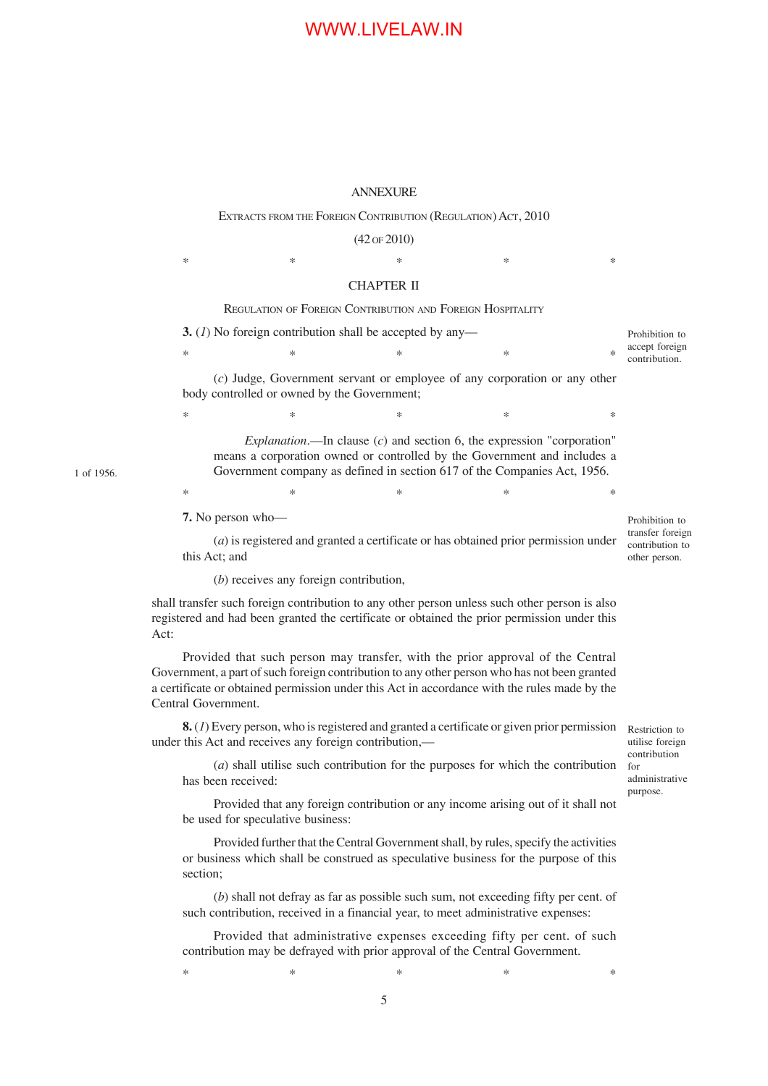### ANNEXURE

### EXTRACTS FROM THE FOREIGN CONTRIBUTION (REGULATION) ACT, 2010

#### (42 OF 2010)

 $*$  \*  $*$  \*  $*$  \*  $*$  \*

#### CHAPTER II

### REGULATION OF FOREIGN CONTRIBUTION AND FOREIGN HOSPITALITY

|                                                                                                                                                                                                                                                                                                       | 3. (1) No foreign contribution shall be accepted by any-                                                                                                               |                                                                                                                                                                                                                                  |   |   |        |                                 |  |  |
|-------------------------------------------------------------------------------------------------------------------------------------------------------------------------------------------------------------------------------------------------------------------------------------------------------|------------------------------------------------------------------------------------------------------------------------------------------------------------------------|----------------------------------------------------------------------------------------------------------------------------------------------------------------------------------------------------------------------------------|---|---|--------|---------------------------------|--|--|
|                                                                                                                                                                                                                                                                                                       | ∗                                                                                                                                                                      | $\ast$                                                                                                                                                                                                                           | * | * | $\ast$ | accept foreign<br>contribution. |  |  |
|                                                                                                                                                                                                                                                                                                       |                                                                                                                                                                        | $(c)$ Judge, Government servant or employee of any corporation or any other                                                                                                                                                      |   |   |        |                                 |  |  |
|                                                                                                                                                                                                                                                                                                       | body controlled or owned by the Government;                                                                                                                            |                                                                                                                                                                                                                                  |   |   |        |                                 |  |  |
|                                                                                                                                                                                                                                                                                                       | ∗                                                                                                                                                                      | *                                                                                                                                                                                                                                | * | ∗ | *      |                                 |  |  |
|                                                                                                                                                                                                                                                                                                       |                                                                                                                                                                        | Explanation.—In clause $(c)$ and section 6, the expression "corporation"<br>means a corporation owned or controlled by the Government and includes a<br>Government company as defined in section 617 of the Companies Act, 1956. |   |   |        |                                 |  |  |
|                                                                                                                                                                                                                                                                                                       | ∗                                                                                                                                                                      | $\ast$                                                                                                                                                                                                                           | * | ∗ | *      |                                 |  |  |
|                                                                                                                                                                                                                                                                                                       | 7. No person who-<br>$(a)$ is registered and granted a certificate or has obtained prior permission under<br>this Act; and<br>$(b)$ receives any foreign contribution, |                                                                                                                                                                                                                                  |   |   |        |                                 |  |  |
| shall transfer such foreign contribution to any other person unless such other person is also<br>registered and had been granted the certificate or obtained the prior permission under this<br>Act:                                                                                                  |                                                                                                                                                                        |                                                                                                                                                                                                                                  |   |   |        |                                 |  |  |
| Provided that such person may transfer, with the prior approval of the Central<br>Government, a part of such foreign contribution to any other person who has not been granted<br>a certificate or obtained permission under this Act in accordance with the rules made by the<br>Central Government. |                                                                                                                                                                        |                                                                                                                                                                                                                                  |   |   |        |                                 |  |  |
| under this Act and receives any foreign contribution,—                                                                                                                                                                                                                                                | Restriction to<br>utilise foreign                                                                                                                                      |                                                                                                                                                                                                                                  |   |   |        |                                 |  |  |
|                                                                                                                                                                                                                                                                                                       | (a) shall utilise such contribution for the purposes for which the contribution                                                                                        | contribution<br>for<br>administrative                                                                                                                                                                                            |   |   |        |                                 |  |  |

Provided that any foreign contribution or any income arising out of it shall not be used for speculative business:

purpose.

Provided further that the Central Government shall, by rules, specify the activities or business which shall be construed as speculative business for the purpose of this section;

(*b*) shall not defray as far as possible such sum, not exceeding fifty per cent. of such contribution, received in a financial year, to meet administrative expenses:

Provided that administrative expenses exceeding fifty per cent. of such contribution may be defrayed with prior approval of the Central Government.

 $*$  \*  $*$  \*  $*$  \*  $*$ 

1 of 1956.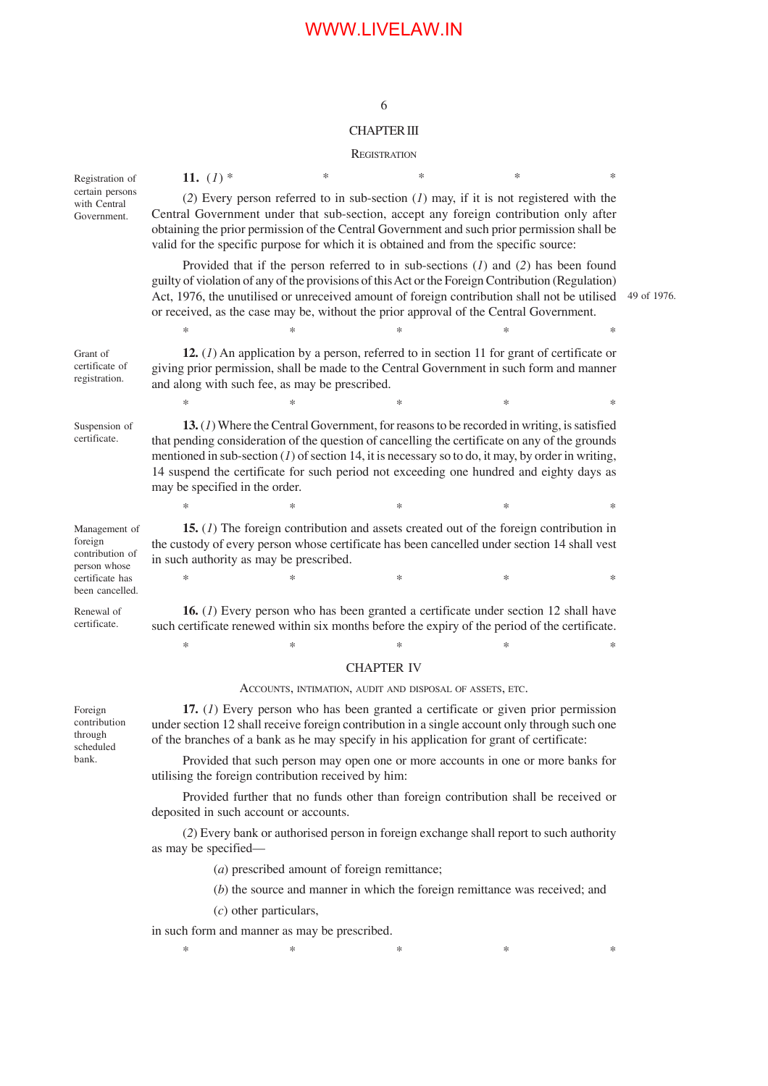### 6

### CHAPTER III

#### **REGISTRATION**

11.  $(I)$  \* (*2*) Every person referred to in sub-section (*1*) may, if it is not registered with the Central Government under that sub-section, accept any foreign contribution only after obtaining the prior permission of the Central Government and such prior permission shall be valid for the specific purpose for which it is obtained and from the specific source: Provided that if the person referred to in sub-sections (*1*) and (*2*) has been found guilty of violation of any of the provisions of this Act or the Foreign Contribution (Regulation) Act, 1976, the unutilised or unreceived amount of foreign contribution shall not be utilised 49 of 1976. or received, as the case may be, without the prior approval of the Central Government.  $*$  \*  $*$  \*  $*$  \*  $*$  \* **12.** (*1*) An application by a person, referred to in section 11 for grant of certificate or giving prior permission, shall be made to the Central Government in such form and manner and along with such fee, as may be prescribed.  $*$  \*  $*$  \*  $*$  \*  $*$  \* **13.** (*1*) Where the Central Government, for reasons to be recorded in writing, is satisfied that pending consideration of the question of cancelling the certificate on any of the grounds mentioned in sub-section (*1*) of section 14, it is necessary so to do, it may, by order in writing, 14 suspend the certificate for such period not exceeding one hundred and eighty days as may be specified in the order.  $*$  \*  $*$  \*  $*$  \*  $*$  \* **15.** (*1*) The foreign contribution and assets created out of the foreign contribution in the custody of every person whose certificate has been cancelled under section 14 shall vest in such authority as may be prescribed.  $*$  \*  $*$  \*  $*$  \*  $*$  \* **16.** (*1*) Every person who has been granted a certificate under section 12 shall have such certificate renewed within six months before the expiry of the period of the certificate.  $*$  \*  $*$  \*  $*$  \*  $*$  \* CHAPTER IV ACCOUNTS, INTIMATION, AUDIT AND DISPOSAL OF ASSETS, ETC. **17.** (*1*) Every person who has been granted a certificate or given prior permission under section 12 shall receive foreign contribution in a single account only through such one of the branches of a bank as he may specify in his application for grant of certificate: Provided that such person may open one or more accounts in one or more banks for utilising the foreign contribution received by him: Provided further that no funds other than foreign contribution shall be received or deposited in such account or accounts. (*2*) Every bank or authorised person in foreign exchange shall report to such authority as may be specified— (*a*) prescribed amount of foreign remittance; (*b*) the source and manner in which the foreign remittance was received; and (*c*) other particulars, in such form and manner as may be prescribed. Registration of certain persons with Central Government. Grant of certificate of registration. Suspension of certificate. Management of foreign contribution of person whose certificate has been cancelled. Renewal of certificate. Foreign contribution through scheduled bank.

 $*$  \*  $*$  \*  $*$  \*  $*$  \*